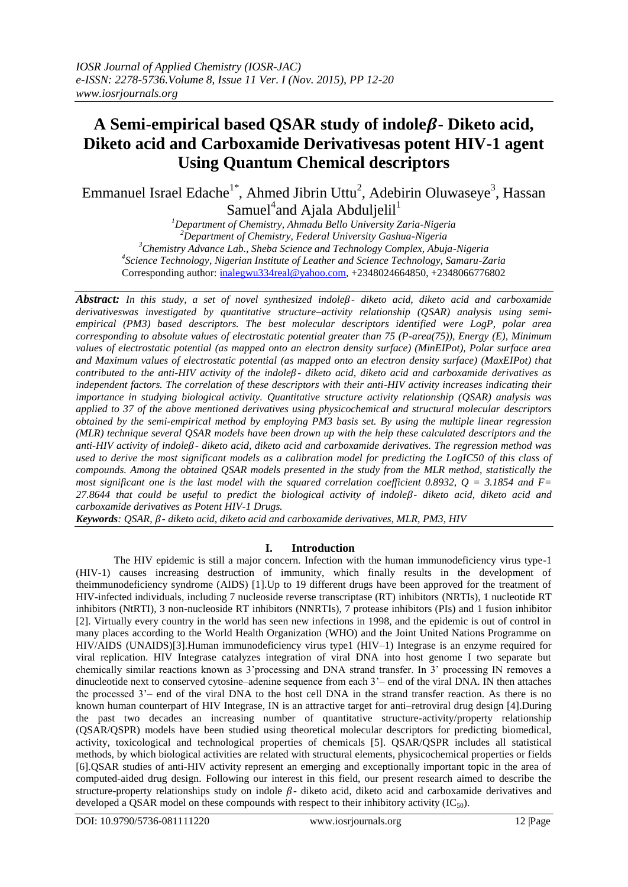# A Semi-empirical based QSAR study of indole $\beta$ - Diketo acid, **Diketo acid and Carboxamide Derivativesas potent HIV-1 agent Using Quantum Chemical descriptors**

Emmanuel Israel Edache<sup>1\*</sup>, Ahmed Jibrin Uttu<sup>2</sup>, Adebirin Oluwaseye<sup>3</sup>, Hassan Samuel<sup>4</sup>and Ajala Abduljelil<sup>1</sup>

*Department of Chemistry, Ahmadu Bello University Zaria-Nigeria Department of Chemistry, Federal University Gashua-Nigeria Chemistry Advance Lab., Sheba Science and Technology Complex, Abuja-Nigeria Science Technology, Nigerian Institute of Leather and Science Technology, Samaru-Zaria* Corresponding author: [inalegwu334real@yahoo.com,](mailto:inalegwu334real@yahoo.com) +2348024664850, +2348066776802

*Abstract: In this study, a set of novel synthesized indole- diketo acid, diketo acid and carboxamide derivativeswas investigated by quantitative structure–activity relationship (QSAR) analysis using semiempirical (PM3) based descriptors. The best molecular descriptors identified were LogP, polar area corresponding to absolute values of electrostatic potential greater than 75 (P-area(75)), Energy (E), Minimum values of electrostatic potential (as mapped onto an electron density surface) (MinEIPot), Polar surface area and Maximum values of electrostatic potential (as mapped onto an electron density surface) (MaxEIPot) that contributed to the anti-HIV activity of the indole- diketo acid, diketo acid and carboxamide derivatives as independent factors. The correlation of these descriptors with their anti-HIV activity increases indicating their importance in studying biological activity. Quantitative structure activity relationship (QSAR) analysis was applied to 37 of the above mentioned derivatives using physicochemical and structural molecular descriptors obtained by the semi-empirical method by employing PM3 basis set. By using the multiple linear regression (MLR) technique several QSAR models have been drown up with the help these calculated descriptors and the anti-HIV activity of indole- diketo acid, diketo acid and carboxamide derivatives. The regression method was used to derive the most significant models as a calibration model for predicting the LogIC50 of this class of compounds. Among the obtained QSAR models presented in the study from the MLR method, statistically the most significant one is the last model with the squared correlation coefficient 0.8932,*  $Q = 3.1854$  *and F= 27.8644 that could be useful to predict the biological activity of indole- diketo acid, diketo acid and carboxamide derivatives as Potent HIV-1 Drugs.* 

*Keywords: QSAR, - diketo acid, diketo acid and carboxamide derivatives, MLR, PM3, HIV*

## **I. Introduction**

The HIV epidemic is still a major concern. Infection with the human immunodeficiency virus type-1 (HIV-1) causes increasing destruction of immunity, which finally results in the development of theimmunodeficiency syndrome (AIDS) [1].Up to 19 different drugs have been approved for the treatment of HIV-infected individuals, including 7 nucleoside reverse transcriptase (RT) inhibitors (NRTIs), 1 nucleotide RT inhibitors (NtRTI), 3 non-nucleoside RT inhibitors (NNRTIs), 7 protease inhibitors (PIs) and 1 fusion inhibitor [2]. Virtually every country in the world has seen new infections in 1998, and the epidemic is out of control in many places according to the World Health Organization (WHO) and the Joint United Nations Programme on HIV/AIDS (UNAIDS)[3].Human immunodeficiency virus type1 (HIV–1) Integrase is an enzyme required for viral replication. HIV Integrase catalyzes integration of viral DNA into host genome I two separate but chemically similar reactions known as 3'processing and DNA strand transfer. In 3' processing IN removes a dinucleotide next to conserved cytosine–adenine sequence from each 3'– end of the viral DNA. IN then attaches the processed 3'– end of the viral DNA to the host cell DNA in the strand transfer reaction. As there is no known human counterpart of HIV Integrase, IN is an attractive target for anti–retroviral drug design [4].During the past two decades an increasing number of quantitative structure-activity/property relationship (QSAR/QSPR) models have been studied using theoretical molecular descriptors for predicting biomedical, activity, toxicological and technological properties of chemicals [5]. QSAR/QSPR includes all statistical methods, by which biological activities are related with structural elements, physicochemical properties or fields [6].QSAR studies of anti-HIV activity represent an emerging and exceptionally important topic in the area of computed-aided drug design. Following our interest in this field, our present research aimed to describe the structure-property relationships study on indole  $\beta$ - diketo acid, diketo acid and carboxamide derivatives and developed a QSAR model on these compounds with respect to their inhibitory activity  $(IC_{50})$ .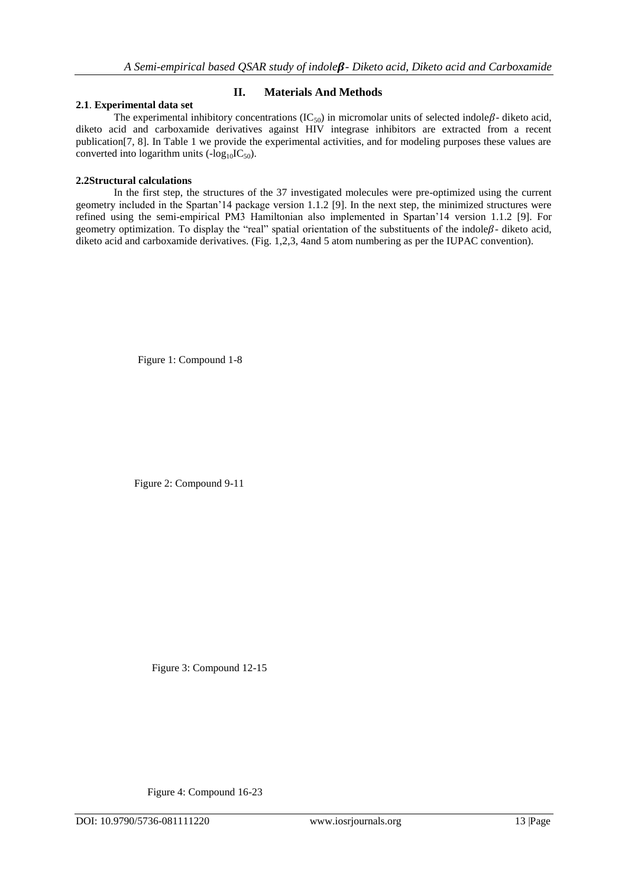## **2.1**. **Experimental data set**

### **II. Materials And Methods**

The experimental inhibitory concentrations  $(IC_{50})$  in micromolar units of selected indole $\beta$ - diketo acid, diketo acid and carboxamide derivatives against HIV integrase inhibitors are extracted from a recent publication[7, 8]. In Table 1 we provide the experimental activities, and for modeling purposes these values are converted into logarithm units  $(-\log_{10}IC_{50})$ .

### **2.2Structural calculations**

In the first step, the structures of the 37 investigated molecules were pre-optimized using the current geometry included in the Spartan'14 package version 1.1.2 [9]. In the next step, the minimized structures were refined using the semi-empirical PM3 Hamiltonian also implemented in Spartan'14 version 1.1.2 [9]. For geometry optimization. To display the "real" spatial orientation of the substituents of the indole $\beta$ - diketo acid, diketo acid and carboxamide derivatives. (Fig. 1,2,3, 4and 5 atom numbering as per the IUPAC convention).

Figure 1: Compound 1-8

Figure 2: Compound 9-11

Figure 3: Compound 12-15

Figure 4: Compound 16-23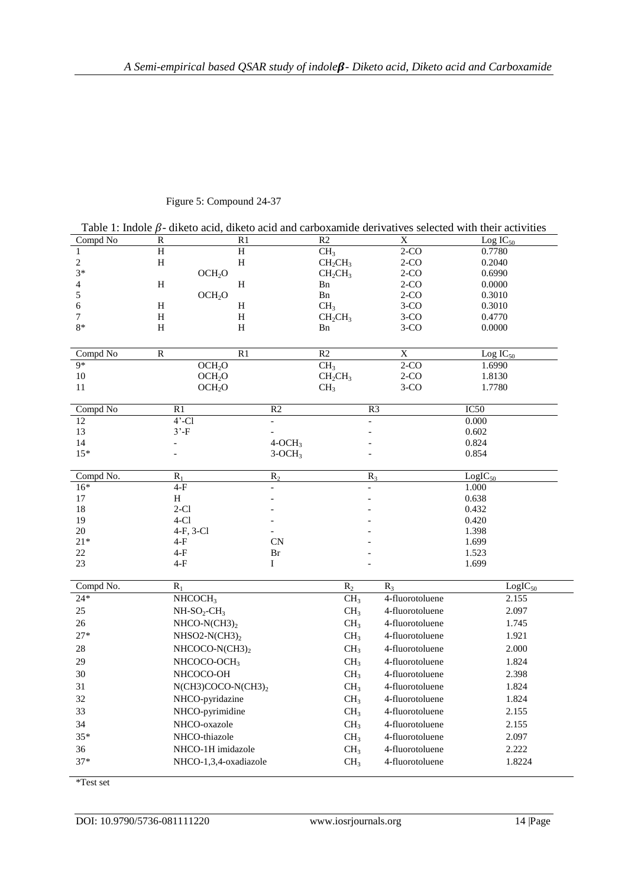| Table 1: Indole $\beta$ - diketo acid, diketo acid and carboxamide derivatives selected with their activities |                |                       |                    |                                                                    |                 |               |  |  |  |  |
|---------------------------------------------------------------------------------------------------------------|----------------|-----------------------|--------------------|--------------------------------------------------------------------|-----------------|---------------|--|--|--|--|
| Compd No                                                                                                      | R              | R1                    |                    | R <sub>2</sub><br>X                                                |                 | $Log IC_{50}$ |  |  |  |  |
| $\mathbf{1}$                                                                                                  | $\rm H$        | H                     |                    | CH <sub>3</sub><br>$2-CO$                                          |                 | 0.7780        |  |  |  |  |
| $\boldsymbol{2}$                                                                                              | H              | H                     |                    | CH <sub>2</sub> CH <sub>3</sub><br>CH <sub>2</sub> CH <sub>3</sub> | $2-CO$          | 0.2040        |  |  |  |  |
| $3*$                                                                                                          |                |                       | OCH <sub>2</sub> O |                                                                    | $2-CO$          | 0.6990        |  |  |  |  |
| 4                                                                                                             | H              |                       | H                  |                                                                    | $2-CO$          | 0.0000        |  |  |  |  |
| 5                                                                                                             |                |                       | OCH <sub>2</sub> O |                                                                    | $2-CO$          | 0.3010        |  |  |  |  |
| 6                                                                                                             | H              |                       | H                  |                                                                    | $3-CO$          | 0.3010        |  |  |  |  |
| 7<br>$8*$                                                                                                     | H              | $\, {\rm H}$          |                    | CH <sub>2</sub> CH <sub>3</sub>                                    | $3-CO$          | 0.4770        |  |  |  |  |
|                                                                                                               | Η              | H                     |                    | Bn                                                                 | $3-CO$          | 0.0000        |  |  |  |  |
| Compd No                                                                                                      | ${\bf R}$      | R1                    |                    | R2<br>$\mathbf X$                                                  |                 | Log $IC_{50}$ |  |  |  |  |
| $9*$                                                                                                          |                | OCH <sub>2</sub> O    |                    | $2-CO$<br>CH <sub>3</sub>                                          |                 | 1.6990        |  |  |  |  |
| $10\,$                                                                                                        |                | OCH <sub>2</sub> O    |                    | $2-CO$<br>$CH_2CH_3$                                               |                 | 1.8130        |  |  |  |  |
| 11                                                                                                            |                | OCH <sub>2</sub> O    |                    | CH <sub>3</sub><br>$3-CO$                                          |                 | 1.7780        |  |  |  |  |
| Compd No                                                                                                      | R <sub>1</sub> |                       | R2                 | R <sub>3</sub>                                                     |                 | IC50          |  |  |  |  |
| 12                                                                                                            | $4'$ -Cl       |                       |                    |                                                                    |                 | 0.000         |  |  |  |  |
| 13                                                                                                            | $3'$ -F        |                       |                    |                                                                    |                 | 0.602         |  |  |  |  |
| 14                                                                                                            |                |                       | $4-OCH3$           |                                                                    |                 | 0.824         |  |  |  |  |
| $15*$                                                                                                         |                |                       | $3-OCH3$           |                                                                    |                 | 0.854         |  |  |  |  |
| Compd No.                                                                                                     | $R_1$          |                       | $R_2$              | $R_3$                                                              |                 | $LogIC_{50}$  |  |  |  |  |
| $16*$                                                                                                         | $4-F$          |                       |                    |                                                                    |                 | 1.000         |  |  |  |  |
| $17\,$                                                                                                        | $\, {\rm H}$   |                       |                    |                                                                    |                 | 0.638         |  |  |  |  |
| 18                                                                                                            | $2-Cl$         |                       |                    |                                                                    |                 | 0.432         |  |  |  |  |
| 19                                                                                                            | $4-Cl$         |                       |                    |                                                                    |                 | 0.420         |  |  |  |  |
| 20                                                                                                            |                | 4-F, 3-Cl             |                    |                                                                    |                 | 1.398         |  |  |  |  |
| $21*$                                                                                                         | $4-F$          |                       | <b>CN</b>          |                                                                    |                 | 1.699         |  |  |  |  |
| 22                                                                                                            | $4-F$          |                       | Br                 |                                                                    |                 | 1.523         |  |  |  |  |
| 23                                                                                                            | $4-F$          |                       | Ι                  |                                                                    |                 | 1.699         |  |  |  |  |
| Compd No.                                                                                                     | $R_1$          |                       |                    | $R_2$                                                              | $R_3$           | $LogIC_{50}$  |  |  |  |  |
| $24*$                                                                                                         |                | NHCOCH <sub>3</sub>   |                    | CH <sub>3</sub>                                                    | 4-fluorotoluene | 2.155         |  |  |  |  |
| $25\,$                                                                                                        |                | $NH-SO2-CH3$          |                    | CH <sub>3</sub>                                                    | 4-fluorotoluene | 2.097         |  |  |  |  |
| 26                                                                                                            |                | NHCO-N(CH3) $_2$      |                    | CH <sub>3</sub>                                                    | 4-fluorotoluene | 1.745         |  |  |  |  |
| $27*$                                                                                                         |                | NHSO2-N(CH3) $_2$     |                    | CH <sub>3</sub>                                                    | 4-fluorotoluene | 1.921         |  |  |  |  |
| $28\,$                                                                                                        |                | NHCOCO-N(CH3)2        |                    | CH <sub>3</sub>                                                    | 4-fluorotoluene | 2.000         |  |  |  |  |
| 29                                                                                                            |                | NHCOCO-OCH3           |                    | CH <sub>3</sub>                                                    | 4-fluorotoluene | 1.824         |  |  |  |  |
| 30                                                                                                            |                | NHCOCO-OH             |                    | CH <sub>3</sub>                                                    | 4-fluorotoluene | 2.398         |  |  |  |  |
| 31                                                                                                            |                | $N(CH3)COCO-N(CH3)_2$ |                    | CH <sub>3</sub>                                                    | 4-fluorotoluene | 1.824         |  |  |  |  |
| 32                                                                                                            |                | NHCO-pyridazine       |                    | CH <sub>3</sub>                                                    | 4-fluorotoluene | 1.824         |  |  |  |  |
| 33                                                                                                            |                | NHCO-pyrimidine       |                    | CH <sub>3</sub>                                                    | 4-fluorotoluene | 2.155         |  |  |  |  |
| 34                                                                                                            |                | NHCO-oxazole          |                    | CH <sub>3</sub>                                                    | 4-fluorotoluene | 2.155         |  |  |  |  |
| $35*$                                                                                                         |                | NHCO-thiazole         |                    | CH <sub>3</sub>                                                    | 4-fluorotoluene | 2.097         |  |  |  |  |
| 36                                                                                                            |                | NHCO-1H imidazole     |                    | CH <sub>3</sub>                                                    | 4-fluorotoluene | 2.222         |  |  |  |  |
| $37*$                                                                                                         |                | NHCO-1,3,4-oxadiazole |                    | CH <sub>3</sub>                                                    | 4-fluorotoluene | 1.8224        |  |  |  |  |
|                                                                                                               |                |                       |                    |                                                                    |                 |               |  |  |  |  |

# Figure 5: Compound 24-37

\*Test set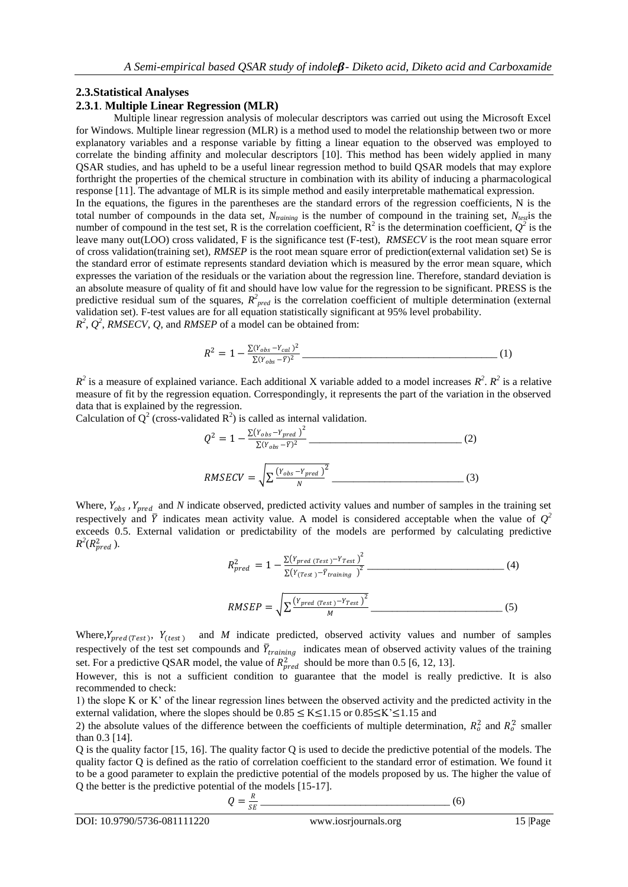### **2.3.Statistical Analyses**

#### **2.3.1**. **Multiple Linear Regression (MLR)**

Multiple linear regression analysis of molecular descriptors was carried out using the Microsoft Excel for Windows. Multiple linear regression (MLR) is a method used to model the relationship between two or more explanatory variables and a response variable by fitting a linear equation to the observed was employed to correlate the binding affinity and molecular descriptors [10]. This method has been widely applied in many QSAR studies, and has upheld to be a useful linear regression method to build QSAR models that may explore forthright the properties of the chemical structure in combination with its ability of inducing a pharmacological response [11]. The advantage of MLR is its simple method and easily interpretable mathematical expression. In the equations, the figures in the parentheses are the standard errors of the regression coefficients, N is the total number of compounds in the data set,  $N_{training}$  is the number of compound in the training set,  $N_{test}$  is the number of compound in the test set, R is the correlation coefficient,  $R^2$  is the determination coefficient,  $Q^2$  is the leave many out(LOO) cross validated, F is the significance test (F-test), *RMSECV* is the root mean square error of cross validation(training set), *RMSEP* is the root mean square error of prediction(external validation set) Se is the standard error of estimate represents standard deviation which is measured by the error mean square, which

expresses the variation of the residuals or the variation about the regression line. Therefore, standard deviation is an absolute measure of quality of fit and should have low value for the regression to be significant. PRESS is the predictive residual sum of the squares,  $R_{pred}^2$  is the correlation coefficient of multiple determination (external validation set). F-test values are for all equation statistically significant at 95% level probability.

 $R^2$ ,  $Q^2$ , *RMSECV*,  $Q$ , and *RMSEP* of a model can be obtained from:

$$
R^{2} = 1 - \frac{\sum (Y_{obs} - Y_{cal})^{2}}{\sum (Y_{obs} - \bar{Y})^{2}}
$$
 (1)

 $R^2$  is a measure of explained variance. Each additional X variable added to a model increases  $R^2$ .  $R^2$  is a relative measure of fit by the regression equation. Correspondingly, it represents the part of the variation in the observed data that is explained by the regression.

Calculation of  $Q^2$  (cross-validated  $R^2$ ) is called as internal validation.

$$
Q^{2} = 1 - \frac{\Sigma(Y_{obs} - Y_{pred})^{2}}{\Sigma(Y_{obs} - \bar{Y})^{2}} \tag{2}
$$
\n
$$
RMSECV = \sqrt{\sum \frac{(Y_{obs} - Y_{pred})^{2}}{N}} \tag{3}
$$

Where,  $Y_{obs}$ ,  $Y_{pred}$  and  $N$  indicate observed, predicted activity values and number of samples in the training set respectively and  $\bar{Y}$  indicates mean activity value. A model is considered acceptable when the value of  $Q^2$ exceeds 0.5. External validation or predictability of the models are performed by calculating predictive  $R^2(R_{pred}^2)$ .

$$
R_{pred}^2 = 1 - \frac{\Sigma (Y_{pred} (Test)^{-Y}_{Test})^2}{\Sigma (Y_{(Test)^{-Y}_{training}})^2}
$$
 (4)

$$
RMSEP = \sqrt{\sum \frac{(Y_{pred (Test)} - Y_{Test})^2}{M}}
$$
 (5)

Where,  $Y_{pred(Test)}$ ,  $Y_{(test)}$  and *M* indicate predicted, observed activity values and number of samples respectively of the test set compounds and  $\bar{Y}_{training}$  indicates mean of observed activity values of the training set. For a predictive QSAR model, the value of  $R_{pred}^2$  should be more than 0.5 [6, 12, 13].

However, this is not a sufficient condition to guarantee that the model is really predictive. It is also recommended to check:

1) the slope K or K' of the linear regression lines between the observed activity and the predicted activity in the external validation, where the slopes should be  $0.85 \le K \le 1.15$  or  $0.85 \le K \le 1.15$  and

2) the absolute values of the difference between the coefficients of multiple determination,  $R_o^2$  and  $R_o^2$  smaller than 0.3 [14].

Q is the quality factor [15, 16]. The quality factor Q is used to decide the predictive potential of the models. The quality factor Q is defined as the ratio of correlation coefficient to the standard error of estimation. We found it to be a good parameter to explain the predictive potential of the models proposed by us. The higher the value of Q the better is the predictive potential of the models [15-17].

$$
Q = \frac{R}{SE}
$$
 (6)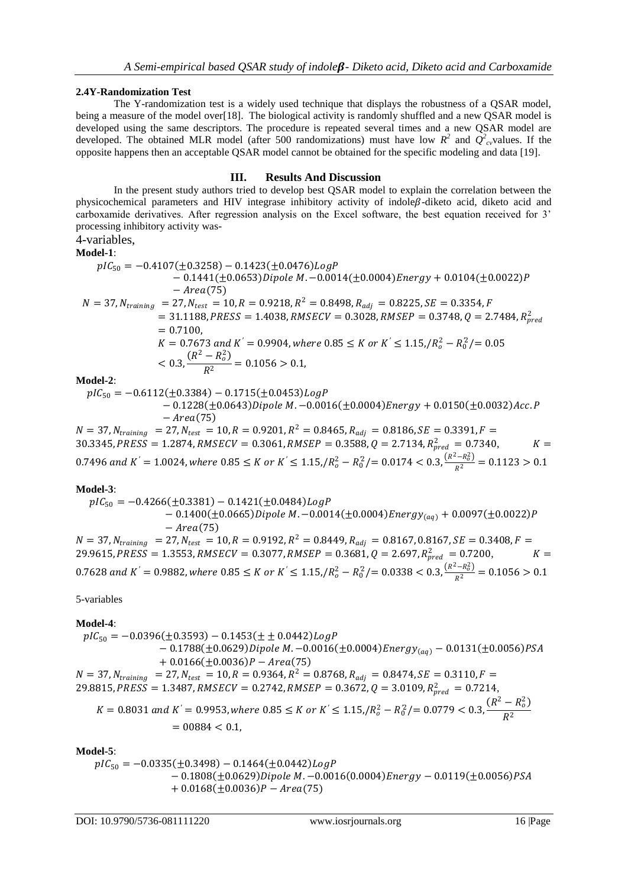#### **2.4Y-Randomization Test**

The Y-randomization test is a widely used technique that displays the robustness of a QSAR model, being a measure of the model over[18]. The biological activity is randomly shuffled and a new QSAR model is developed using the same descriptors. The procedure is repeated several times and a new QSAR model are developed. The obtained MLR model (after 500 randomizations) must have low  $R^2$  and  $Q^2_{cv}$ values. If the opposite happens then an acceptable QSAR model cannot be obtained for the specific modeling and data [19].

### **III. Results And Discussion**

In the present study authors tried to develop best QSAR model to explain the correlation between the physicochemical parameters and HIV integrase inhibitory activity of indole $\beta$ -diketo acid, diketo acid and carboxamide derivatives. After regression analysis on the Excel software, the best equation received for 3' processing inhibitory activity was-

#### 4-variables, **Model-1**:

$$
pIC_{50} = -0.4107(\pm 0.3258) - 0.1423(\pm 0.0476)LogP
$$
  
\n
$$
- 0.1441(\pm 0.0653)Dipole M. - 0.0014(\pm 0.0004)Energy + 0.0104(\pm 0.0022)P
$$
  
\n
$$
- Area(75)
$$
  
\n
$$
N = 37, N_{training} = 27, N_{test} = 10, R = 0.9218, R^2 = 0.8498, R_{adj} = 0.8225, SE = 0.3354, F
$$
  
\n
$$
= 31.1188, PRESS = 1.4038, RMSECV = 0.3028, RMSEP = 0.3748, Q = 2.7484, R_{pred}^2
$$
  
\n
$$
= 0.7100,
$$
  
\n
$$
K = 0.7673 and K' = 0.9904, where 0.85 \le K \text{ or } K' \le 1.15, /R_o^2 - R_0^2/ = 0.05
$$
  
\n
$$
< 0.3, \frac{(R^2 - R_o^2)}{R^2} = 0.1056 > 0.1,
$$

**Model-2**:

 $pIC_{50} = -0.6112(\pm 0.3384) - 0.1715(\pm 0.0453) LogP$  $-0.1228 (\pm 0.0643)$ Dipole M. $-0.0016 (\pm 0.0004)$ Energy +  $0.0150 (\pm 0.0032)$ Acc. P  $-\text{Area}(75)$  $N = 37$ ,  $N_{training}$  = 27,  $N_{test}$  = 10,  $R = 0.9201$ ,  $R^2 = 0.8465$ ,  $R_{adj}$  = 0.8186,  $SE = 0.3391$ ,  $F =$ 30.3345, PRESS = 1.2874, RMSECV = 0.3061, RMSEP = 0.3588,  $Q = 2.7134$ ,  $R_{pred}^2 = 0.7340$ ,  $K =$ 

 $0.7496$  and  $K^{'} = 1.0024$ , where  $0.85 \le K$  or  $K^{'} \le 1.15$ ,  $/R_o^2 - R_0^2/ = 0.0174 < 0.3$ ,  $\frac{(R^2 - R_o^2)}{R^2} = 0.1123 > 0.1$ 

#### **Model-3**:

$$
pIC_{50} = -0.4266(\pm 0.3381) - 0.1421(\pm 0.0484)LogP
$$
  
\n
$$
- 0.1400(\pm 0.0665)Dipole M. -0.0014(\pm 0.0004)Energy_{(aq)} + 0.0097(\pm 0.0022)P
$$
  
\n
$$
- Area(75)
$$
  
\n
$$
N = 37, N_{training} = 27, N_{test} = 10, R = 0.9192, R^2 = 0.8449, R_{adj} = 0.8167, 0.8167, SE = 0.3408, F =
$$
  
\n29.9615, *PRESS* = 1.3553, *RMSECV* = 0.3077, *RMSEP* = 0.3681, *Q* = 2.697,  $R_{pred}^2 = 0.7200$ ,  $K =$   
\n0.7628 and  $K' = 0.9882$ , where  $0.85 \le K$  or  $K' \le 1.15, /R_o^2 - R_0^2/= 0.0338 < 0.3, \frac{(R^2 - R_o^2)}{R^2} = 0.1056 > 0.1$ 

5-variables

#### **Model-4**:

 $pIC_{50} = -0.0396(\pm 0.3593) - 0.1453(\pm \pm 0.0442)LogP$  $-0.1788(\pm 0.0629)$ Dipole M.  $-0.0016(\pm 0.0004)$ Energy<sub>(aq)</sub>  $-0.0131(\pm 0.0056)$ PSA  $+ 0.0166(\pm 0.0036)P - Area(75)$  $N = 37$ ,  $N_{training} = 27$ ,  $N_{test} = 10$ ,  $R = 0.9364$ ,  $R^2 = 0.8768$ ,  $R_{adj} = 0.8474$ ,  $SE = 0.3110$ ,  $F =$ 29.8815, PRESS = 1.3487, RMSECV = 0.2742, RMSEP = 0.3672,  $Q = 3.0109$ ,  $R_{pred}^2 = 0.7214$ ,  $K = 0.8031$  and  $K^{'} = 0.9953$ , where  $0.85 \le K$  or  $K^{'} \le 1.15$ ,  $/R_o^2 - R_0^2/$   $= 0.0779 < 0.3$ ,  $\frac{(R^2 - R_o^2)}{P^2}$  $R^2$  $= 00884 < 0.1$ 

#### **Model-5**:

 $pIC_{50} = -0.0335(\pm 0.3498) - 0.1464(\pm 0.0442) LogP$  $-0.1808(\pm 0.0629)$ Dipole M.  $-0.0016(0.0004)$ Energy  $-0.0119(\pm 0.0056)$ PSA  $+ 0.0168(\pm 0.0036)P - Area(75)$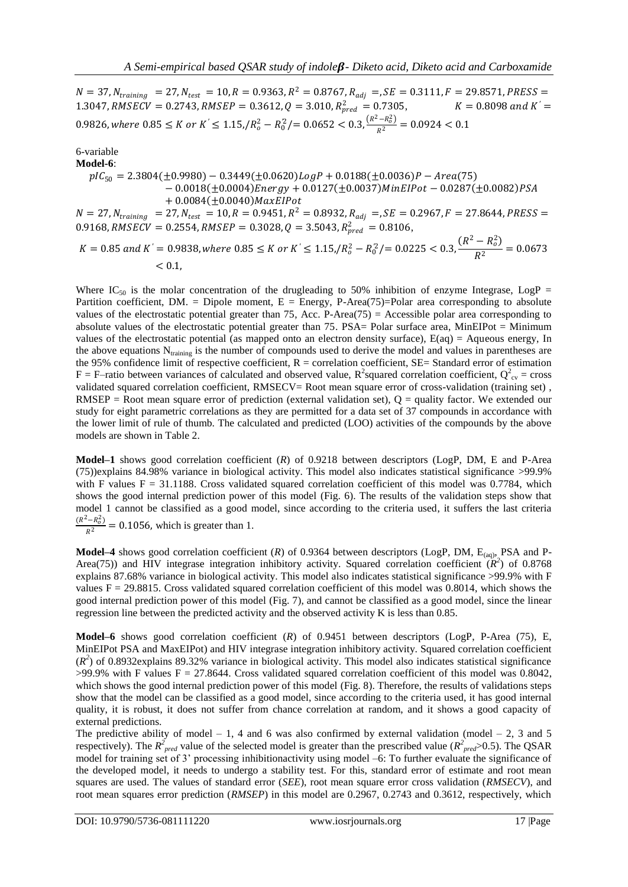$N = 37$ ,  $N_{training} = 27$ ,  $N_{test} = 10$ ,  $R = 0.9363$ ,  $R^2 = 0.8767$ ,  $R_{adj} =$ ,  $SE = 0.3111$ ,  $F = 29.8571$ ,  $PRESS =$ 1.3047, RMSECV = 0.2743, RMSEP = 0.3612,  $Q = 3.010$ ,  $R_{pred}^2 = 0.7305$ ,  $K = 0.8098$  and  $K' =$  $0.9826$ , where  $0.85 \le K$  or  $K' \le 1.15$ ,  $/R_o^2 - R_0^2$  /=  $0.0652 < 0.3$ ,  $\frac{(R^2 - R_o^2)}{R^2} = 0.0924 < 0.1$ 

6-variable

**Model-6**:  $pIC_{50} = 2.3804(\pm 0.9980) - 0.3449(\pm 0.0620) LogP + 0.0188(\pm 0.0036)P - Area(75)$  $-0.0018(\pm 0.0004)$ Energy + 0.0127( $\pm 0.0037$ )MinEIPot  $-0.0287(\pm 0.0082)$ PSA  $+ 0.0084 (\pm 0.0040)$ MaxElPot  $N = 27$ ,  $N_{training} = 27$ ,  $N_{test} = 10$ ,  $R = 0.9451$ ,  $R^2 = 0.8932$ ,  $R_{adj} =$ ,  $SE = 0.2967$ ,  $F = 27.8644$ ,  $PRESS =$ 0.9168, RMSECV = 0.2554, RMSEP = 0.3028,  $Q = 3.5043$ ,  $R_{pred}^2 = 0.8106$ ,

 $K = 0.85$  and  $K^{'} = 0.9838$ , where  $0.85 \le K$  or  $K^{'} \le 1.15$ ,  $/R_o^2 - R_0^2/$  =  $0.0225 < 0.3$ ,  $\frac{(R^2 - R_o^2)}{R^2}$  $\frac{67}{R^2}$  = 0.0673  $< 0.1$ .

Where IC<sub>50</sub> is the molar concentration of the drugleading to 50% inhibition of enzyme Integrase, LogP = Partition coefficient, DM. = Dipole moment,  $E =$  Energy, P-Area(75)=Polar area corresponding to absolute values of the electrostatic potential greater than 75, Acc. P-Area(75) = Accessible polar area corresponding to absolute values of the electrostatic potential greater than 75. PSA= Polar surface area, MinEIPot = Minimum values of the electrostatic potential (as mapped onto an electron density surface), E(aq) = Aqueous energy, In the above equations  $N_{training}$  is the number of compounds used to derive the model and values in parentheses are the 95% confidence limit of respective coefficient,  $R =$  correlation coefficient,  $SE =$  Standard error of estimation  $F = F$ -ratio between variances of calculated and observed value, R<sup>2</sup>squared correlation coefficient, Q<sup>2</sup><sub>cv</sub> = cross validated squared correlation coefficient, RMSECV= Root mean square error of cross-validation (training set) , RMSEP = Root mean square error of prediction (external validation set),  $Q =$  quality factor. We extended our study for eight parametric correlations as they are permitted for a data set of 37 compounds in accordance with the lower limit of rule of thumb. The calculated and predicted (LOO) activities of the compounds by the above models are shown in Table 2.

**Model–1** shows good correlation coefficient (*R*) of 0.9218 between descriptors (LogP, DM, E and P-Area (75))explains 84.98% variance in biological activity. This model also indicates statistical significance >99.9% with F values  $F = 31.1188$ . Cross validated squared correlation coefficient of this model was 0.7784, which shows the good internal prediction power of this model (Fig. 6). The results of the validation steps show that model 1 cannot be classified as a good model, since according to the criteria used, it suffers the last criteria  $\frac{(R^2 - R_o^2)}{R^2}$  = 0.1056, which is greater than 1.

**Model–4** shows good correlation coefficient (*R*) of 0.9364 between descriptors (LogP, DM, E<sub>(aq)</sub>, PSA and P-Area(75)) and HIV integrase integration inhibitory activity. Squared correlation coefficient  $(R^2)$  of 0.8768 explains 87.68% variance in biological activity. This model also indicates statistical significance >99.9% with F values  $F = 29.8815$ . Cross validated squared correlation coefficient of this model was 0.8014, which shows the good internal prediction power of this model (Fig. 7), and cannot be classified as a good model, since the linear regression line between the predicted activity and the observed activity K is less than 0.85.

**Model–6** shows good correlation coefficient (*R*) of 0.9451 between descriptors (LogP, P-Area (75), E, MinEIPot PSA and MaxEIPot) and HIV integrase integration inhibitory activity. Squared correlation coefficient  $(R<sup>2</sup>)$  of 0.8932explains 89.32% variance in biological activity. This model also indicates statistical significance  $>99.9\%$  with F values F = 27.8644. Cross validated squared correlation coefficient of this model was 0.8042, which shows the good internal prediction power of this model (Fig. 8). Therefore, the results of validations steps show that the model can be classified as a good model, since according to the criteria used, it has good internal quality, it is robust, it does not suffer from chance correlation at random, and it shows a good capacity of external predictions.

The predictive ability of model – 1, 4 and 6 was also confirmed by external validation (model – 2, 3 and 5 respectively). The  $R^2_{pred}$  value of the selected model is greater than the prescribed value ( $R^2_{pred}$ >0.5). The QSAR model for training set of 3' processing inhibitionactivity using model –6: To further evaluate the significance of the developed model, it needs to undergo a stability test. For this, standard error of estimate and root mean squares are used. The values of standard error (*SEE*), root mean square error cross validation (*RMSECV*), and root mean squares error prediction (*RMSEP*) in this model are 0.2967, 0.2743 and 0.3612, respectively, which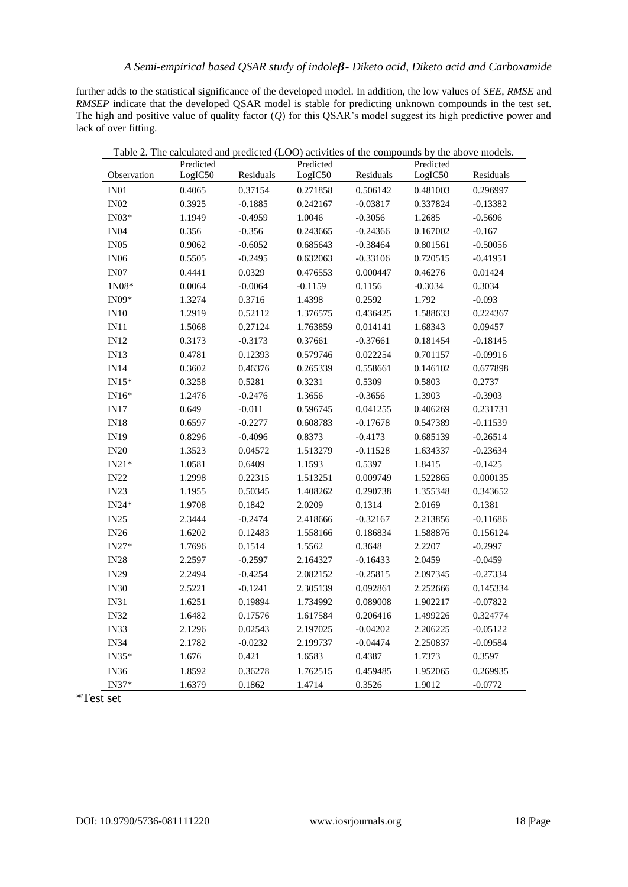further adds to the statistical significance of the developed model. In addition, the low values of *SEE*, *RMSE* and *RMSEP* indicate that the developed QSAR model is stable for predicting unknown compounds in the test set. The high and positive value of quality factor (*Q*) for this QSAR's model suggest its high predictive power and lack of over fitting.

|                  | Table 2. The calculated and predicted (LOO) activities of the compounds by the above models.<br>Predicted |           | Predicted |            | Predicted |            |
|------------------|-----------------------------------------------------------------------------------------------------------|-----------|-----------|------------|-----------|------------|
| Observation      | LogIC50                                                                                                   | Residuals | LogIC50   | Residuals  | LogIC50   | Residuals  |
| IN01             | 0.4065                                                                                                    | 0.37154   | 0.271858  | 0.506142   | 0.481003  | 0.296997   |
| IN02             | 0.3925                                                                                                    | $-0.1885$ | 0.242167  | $-0.03817$ | 0.337824  | $-0.13382$ |
| $IN03*$          | 1.1949                                                                                                    | $-0.4959$ | 1.0046    | $-0.3056$  | 1.2685    | $-0.5696$  |
| IN <sub>04</sub> | 0.356                                                                                                     | $-0.356$  | 0.243665  | $-0.24366$ | 0.167002  | $-0.167$   |
| IN05             | 0.9062                                                                                                    | $-0.6052$ | 0.685643  | $-0.38464$ | 0.801561  | $-0.50056$ |
| IN06             | 0.5505                                                                                                    | $-0.2495$ | 0.632063  | $-0.33106$ | 0.720515  | $-0.41951$ |
| IN <sub>07</sub> | 0.4441                                                                                                    | 0.0329    | 0.476553  | 0.000447   | 0.46276   | 0.01424    |
| 1N08*            | 0.0064                                                                                                    | $-0.0064$ | $-0.1159$ | 0.1156     | $-0.3034$ | 0.3034     |
| $IN09*$          | 1.3274                                                                                                    | 0.3716    | 1.4398    | 0.2592     | 1.792     | $-0.093$   |
| IN10             | 1.2919                                                                                                    | 0.52112   | 1.376575  | 0.436425   | 1.588633  | 0.224367   |
| IN11             | 1.5068                                                                                                    | 0.27124   | 1.763859  | 0.014141   | 1.68343   | 0.09457    |
| IN12             | 0.3173                                                                                                    | $-0.3173$ | 0.37661   | $-0.37661$ | 0.181454  | $-0.18145$ |
| IN13             | 0.4781                                                                                                    | 0.12393   | 0.579746  | 0.022254   | 0.701157  | $-0.09916$ |
| IN14             | 0.3602                                                                                                    | 0.46376   | 0.265339  | 0.558661   | 0.146102  | 0.677898   |
| $IN15*$          | 0.3258                                                                                                    | 0.5281    | 0.3231    | 0.5309     | 0.5803    | 0.2737     |
| $IN16*$          | 1.2476                                                                                                    | $-0.2476$ | 1.3656    | $-0.3656$  | 1.3903    | $-0.3903$  |
| IN17             | 0.649                                                                                                     | $-0.011$  | 0.596745  | 0.041255   | 0.406269  | 0.231731   |
| IN18             | 0.6597                                                                                                    | $-0.2277$ | 0.608783  | $-0.17678$ | 0.547389  | $-0.11539$ |
| IN19             | 0.8296                                                                                                    | $-0.4096$ | 0.8373    | $-0.4173$  | 0.685139  | $-0.26514$ |
| IN20             | 1.3523                                                                                                    | 0.04572   | 1.513279  | $-0.11528$ | 1.634337  | $-0.23634$ |
| $IN21*$          | 1.0581                                                                                                    | 0.6409    | 1.1593    | 0.5397     | 1.8415    | $-0.1425$  |
| IN22             | 1.2998                                                                                                    | 0.22315   | 1.513251  | 0.009749   | 1.522865  | 0.000135   |
| IN23             | 1.1955                                                                                                    | 0.50345   | 1.408262  | 0.290738   | 1.355348  | 0.343652   |
| $IN24*$          | 1.9708                                                                                                    | 0.1842    | 2.0209    | 0.1314     | 2.0169    | 0.1381     |
| IN25             | 2.3444                                                                                                    | $-0.2474$ | 2.418666  | $-0.32167$ | 2.213856  | $-0.11686$ |
| IN26             | 1.6202                                                                                                    | 0.12483   | 1.558166  | 0.186834   | 1.588876  | 0.156124   |
| $IN27*$          | 1.7696                                                                                                    | 0.1514    | 1.5562    | 0.3648     | 2.2207    | $-0.2997$  |
| IN28             | 2.2597                                                                                                    | $-0.2597$ | 2.164327  | $-0.16433$ | 2.0459    | $-0.0459$  |
| IN29             | 2.2494                                                                                                    | $-0.4254$ | 2.082152  | $-0.25815$ | 2.097345  | $-0.27334$ |
| <b>IN30</b>      | 2.5221                                                                                                    | $-0.1241$ | 2.305139  | 0.092861   | 2.252666  | 0.145334   |
| IN31             | 1.6251                                                                                                    | 0.19894   | 1.734992  | 0.089008   | 1.902217  | $-0.07822$ |
| IN32             | 1.6482                                                                                                    | 0.17576   | 1.617584  | 0.206416   | 1.499226  | 0.324774   |
| IN33             | 2.1296                                                                                                    | 0.02543   | 2.197025  | $-0.04202$ | 2.206225  | $-0.05122$ |
| IN34             | 2.1782                                                                                                    | $-0.0232$ | 2.199737  | $-0.04474$ | 2.250837  | $-0.09584$ |
| IN35*            | 1.676                                                                                                     | 0.421     | 1.6583    | 0.4387     | 1.7373    | 0.3597     |
| IN36             | 1.8592                                                                                                    | 0.36278   | 1.762515  | 0.459485   | 1.952065  | 0.269935   |
| IN37*            | 1.6379                                                                                                    | 0.1862    | 1.4714    | 0.3526     | 1.9012    | $-0.0772$  |

\*Test set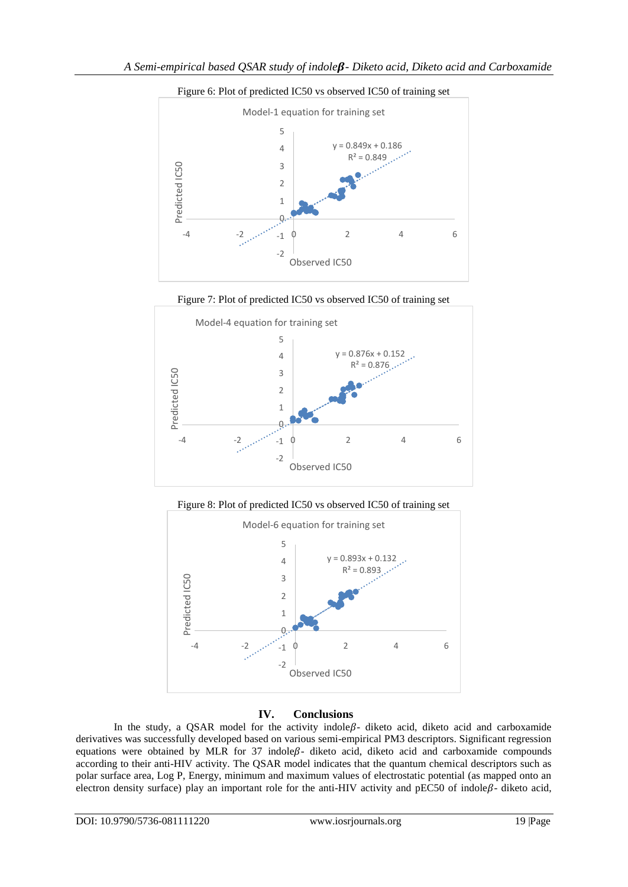

Figure 6: Plot of predicted IC50 vs observed IC50 of training set









## **IV. Conclusions**

In the study, a QSAR model for the activity indole $\beta$ - diketo acid, diketo acid and carboxamide derivatives was successfully developed based on various semi-empirical PM3 descriptors. Significant regression equations were obtained by MLR for 37 indole $\beta$ - diketo acid, diketo acid and carboxamide compounds according to their anti-HIV activity. The QSAR model indicates that the quantum chemical descriptors such as polar surface area, Log P, Energy, minimum and maximum values of electrostatic potential (as mapped onto an electron density surface) play an important role for the anti-HIV activity and pEC50 of indole $\beta$ - diketo acid,